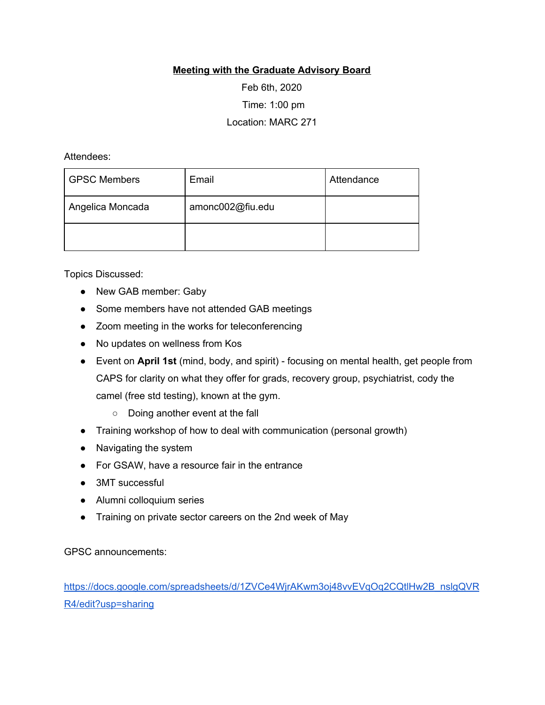## **Meeting with the Graduate Advisory Board**

Feb 6th, 2020 Time: 1:00 pm Location: MARC 271

Attendees:

| <b>GPSC Members</b> | Email            | Attendance |
|---------------------|------------------|------------|
| Angelica Moncada    | amonc002@fiu.edu |            |
|                     |                  |            |

Topics Discussed:

- New GAB member: Gaby
- Some members have not attended GAB meetings
- Zoom meeting in the works for teleconferencing
- No updates on wellness from Kos
- Event on **April 1st** (mind, body, and spirit) focusing on mental health, get people from CAPS for clarity on what they offer for grads, recovery group, psychiatrist, cody the camel (free std testing), known at the gym.
	- Doing another event at the fall
- Training workshop of how to deal with communication (personal growth)
- Navigating the system
- For GSAW, have a resource fair in the entrance
- 3MT successful
- Alumni colloquium series
- Training on private sector careers on the 2nd week of May

GPSC announcements:

[https://docs.google.com/spreadsheets/d/1ZVCe4WjrAKwm3oj48vvEVqOq2CQtlHw2B\\_nslgQVR](https://docs.google.com/spreadsheets/d/1ZVCe4WjrAKwm3oj48vvEVqOq2CQtlHw2B_nslgQVRR4/edit?usp=sharing) [R4/edit?usp=sharing](https://docs.google.com/spreadsheets/d/1ZVCe4WjrAKwm3oj48vvEVqOq2CQtlHw2B_nslgQVRR4/edit?usp=sharing)